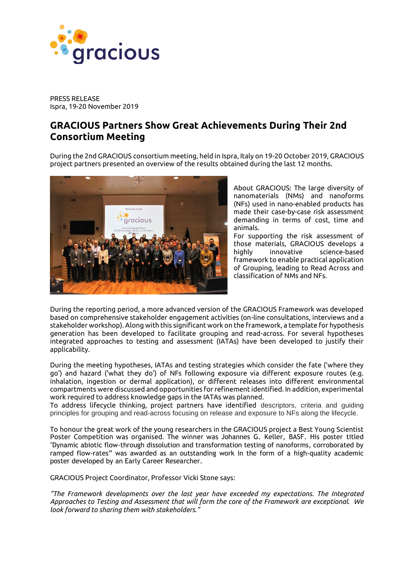

PRESS RELEASE Ispra, 19-20 November 2019

## **GRACIOUS Partners Show Great Achievements During Their 2nd Consortium Meeting**

During the 2nd GRACIOUS consortium meeting, held in Ispra, Italy on 19-20 October 2019, GRACIOUS project partners presented an overview of the results obtained during the last 12 months.



About GRACIOUS: The large diversity of nanomaterials (NMs) and nanoforms (NFs) used in nano-enabled products has made their case-by-case risk assessment demanding in terms of cost, time and animals.

For supporting the risk assessment of those materials, GRACIOUS develops a highly innovative science-based framework to enable practical application of Grouping, leading to Read Across and classification of NMs and NFs.

During the reporting period, a more advanced version of the GRACIOUS Framework was developed based on comprehensive stakeholder engagement activities (on-line consultations, interviews and a stakeholder workshop). Along with this significant work on the framework, a template for hypothesis generation has been developed to facilitate grouping and read-across. For several hypotheses integrated approaches to testing and assessment (IATAs) have been developed to justify their applicability.

During the meeting hypotheses, IATAs and testing strategies which consider the fate ('where they go') and hazard ('what they do') of NFs following exposure via different exposure routes (e.g. inhalation, ingestion or dermal application), or different releases into different environmental compartments were discussed and opportunities for refinement identified. In addition, experimental work required to address knowledge gaps in the IATAs was planned.

To address lifecycle thinking, project partners have identified descriptors, criteria and guiding principles for grouping and read-across focusing on release and exposure to NFs along the lifecycle.

To honour the great work of the young researchers in the GRACIOUS project a Best Young Scientist Poster Competition was organised. The winner was Johannes G. Keller, BASF. His poster titled "Dynamic abiotic flow-through dissolution and transformation testing of nanoforms, corroborated by ramped flow-rates" was awarded as an outstanding work in the form of a high-quality academic poster developed by an Early Career Researcher.

GRACIOUS Project Coordinator, Professor Vicki Stone says:

*"The Framework developments over the last year have exceeded my expectations. The Integrated Approaches to Testing and Assessment that will form the core of the Framework are exceptional. We look forward to sharing them with stakeholders."*